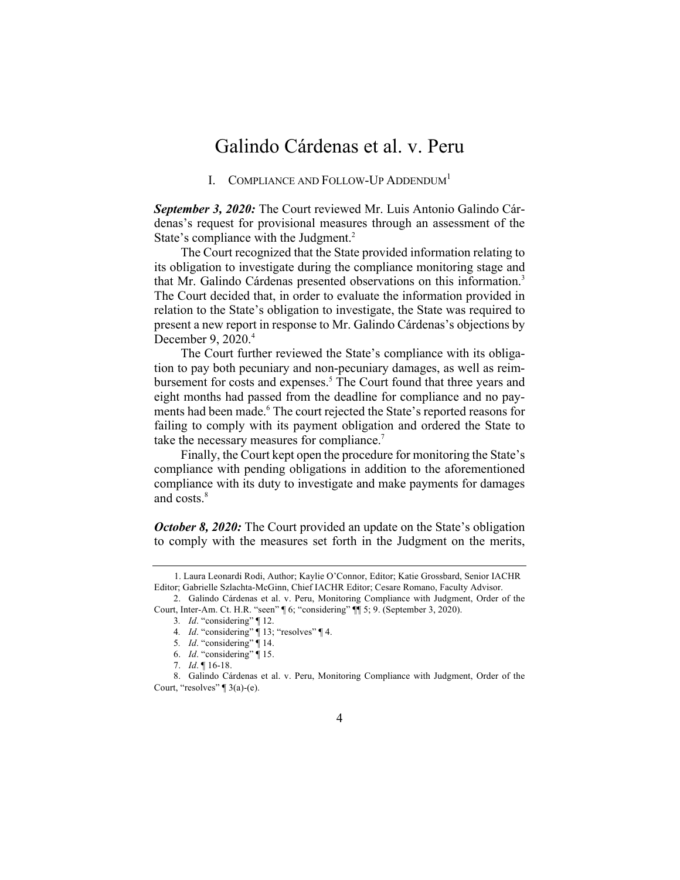## Galindo Cárdenas et al. v. Peru

I. COMPLIANCE AND FOLLOW-UP ADDENDUM<sup>1</sup>

*September 3, 2020:* The Court reviewed Mr. Luis Antonio Galindo Cárdenas's request for provisional measures through an assessment of the State's compliance with the Judgment.<sup>2</sup>

The Court recognized that the State provided information relating to its obligation to investigate during the compliance monitoring stage and that Mr. Galindo Cárdenas presented observations on this information.<sup>3</sup> The Court decided that, in order to evaluate the information provided in relation to the State's obligation to investigate, the State was required to present a new report in response to Mr. Galindo Cárdenas's objections by December 9, 2020.<sup>4</sup>

The Court further reviewed the State's compliance with its obligation to pay both pecuniary and non-pecuniary damages, as well as reimbursement for costs and expenses.<sup>5</sup> The Court found that three years and eight months had passed from the deadline for compliance and no payments had been made.<sup>6</sup> The court rejected the State's reported reasons for failing to comply with its payment obligation and ordered the State to take the necessary measures for compliance.<sup>7</sup>

Finally, the Court kept open the procedure for monitoring the State's compliance with pending obligations in addition to the aforementioned compliance with its duty to investigate and make payments for damages and costs.<sup>8</sup>

*October 8, 2020:* The Court provided an update on the State's obligation to comply with the measures set forth in the Judgment on the merits,

<sup>1.</sup> Laura Leonardi Rodi, Author; Kaylie O'Connor, Editor; Katie Grossbard, Senior IACHR Editor; Gabrielle Szlachta-McGinn, Chief IACHR Editor; Cesare Romano, Faculty Advisor.

<sup>2.</sup> Galindo Cárdenas et al. v. Peru, Monitoring Compliance with Judgment, Order of the Court, Inter-Am. Ct. H.R. "seen" ¶ 6; "considering" ¶¶ 5; 9. (September 3, 2020).

<sup>3</sup>*. Id*. "considering" ¶ 12.

<sup>4</sup>*. Id*. "considering" ¶ 13; "resolves" ¶ 4.

<sup>5</sup>*. Id*. "considering" ¶ 14.

<sup>6.</sup> *Id*. "considering" ¶ 15.

<sup>7.</sup> *Id*. ¶ 16-18.

<sup>8.</sup> Galindo Cárdenas et al. v. Peru, Monitoring Compliance with Judgment, Order of the Court, "resolves"  $\lceil 3(a)-(e)$ .